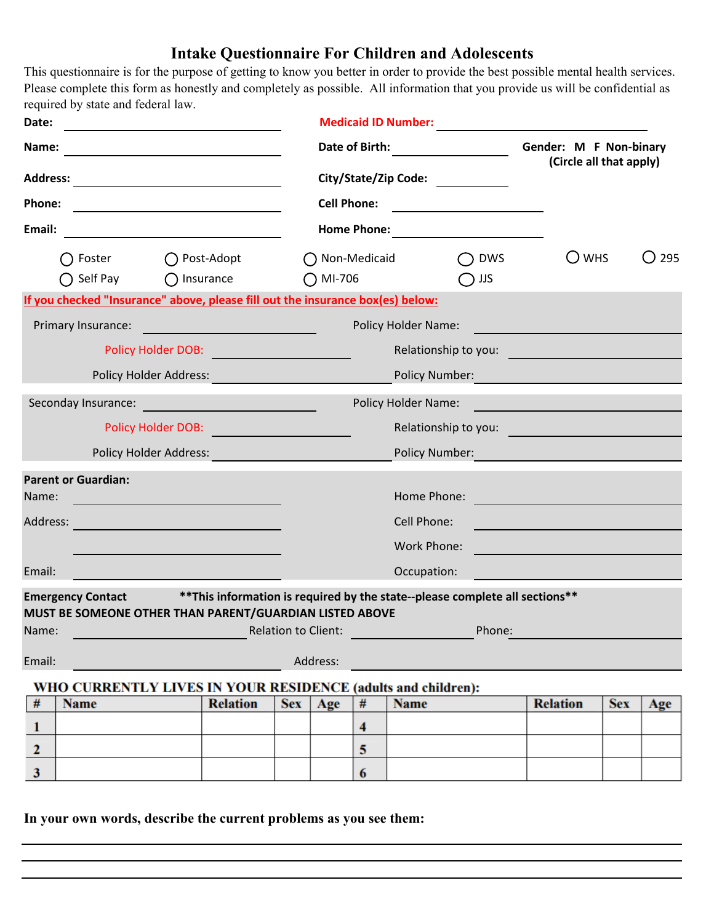## **Intake Questionnaire For Children and Adolescents**

This questionnaire is for the purpose of getting to know you better in order to provide the best possible mental health services. Please complete this form as honestly and completely as possible. All information that you provide us will be confidential as required by state and federal law.

| Date:                                                                                                           |                                                                                                                |                        |                                  | <b>Medicaid ID Number:</b>                                        |                                                                                                                                          |      |                            |                |                                                   |            |     |
|-----------------------------------------------------------------------------------------------------------------|----------------------------------------------------------------------------------------------------------------|------------------------|----------------------------------|-------------------------------------------------------------------|------------------------------------------------------------------------------------------------------------------------------------------|------|----------------------------|----------------|---------------------------------------------------|------------|-----|
| Name:<br><b>Address:</b><br><u> 1980 - Johann Barn, mars an t-Amerikaansk kommunister (</u><br>Phone:<br>Email: |                                                                                                                |                        |                                  |                                                                   | Date of Birth:<br>City/State/Zip Code:<br><b>Cell Phone:</b><br><u> 1989 - Johann Barbara, martxa alemani</u> ar a<br><b>Home Phone:</b> |      |                            |                | Gender: M F Non-binary<br>(Circle all that apply) |            |     |
|                                                                                                                 |                                                                                                                |                        |                                  |                                                                   |                                                                                                                                          |      |                            |                |                                                   |            |     |
|                                                                                                                 |                                                                                                                |                        |                                  |                                                                   |                                                                                                                                          |      |                            |                |                                                   |            |     |
|                                                                                                                 |                                                                                                                |                        |                                  |                                                                   |                                                                                                                                          |      |                            |                |                                                   |            |     |
| Foster<br>Post-Adopt                                                                                            |                                                                                                                |                        |                                  | ◯ Non-Medicaid<br><b>DWS</b><br>$\bigcap$ MI-706<br>$\bigcup$ JJS |                                                                                                                                          |      |                            | $\bigcirc$ whs | 295<br>( )                                        |            |     |
| Self Pay<br>$\bigcap$ Insurance                                                                                 |                                                                                                                |                        |                                  |                                                                   |                                                                                                                                          |      |                            |                |                                                   |            |     |
|                                                                                                                 | If you checked "Insurance" above, please fill out the insurance box(es) below:                                 |                        |                                  |                                                                   |                                                                                                                                          |      |                            |                |                                                   |            |     |
|                                                                                                                 | Primary Insurance:                                                                                             |                        |                                  |                                                                   |                                                                                                                                          |      | <b>Policy Holder Name:</b> |                |                                                   |            |     |
|                                                                                                                 |                                                                                                                |                        | Policy Holder DOB: New York DOB: |                                                                   |                                                                                                                                          |      | Relationship to you:       |                |                                                   |            |     |
|                                                                                                                 |                                                                                                                | Policy Holder Address: |                                  |                                                                   |                                                                                                                                          |      | Policy Number:             |                |                                                   |            |     |
|                                                                                                                 | Seconday Insurance: Engine and the contract of the contract of the contract of the contract of the contract of |                        |                                  |                                                                   | Policy Holder Name:                                                                                                                      |      |                            |                |                                                   |            |     |
|                                                                                                                 |                                                                                                                | Policy Holder DOB:     |                                  |                                                                   | Relationship to you:                                                                                                                     |      |                            |                |                                                   |            |     |
|                                                                                                                 |                                                                                                                |                        |                                  |                                                                   |                                                                                                                                          |      |                            |                |                                                   |            |     |
|                                                                                                                 |                                                                                                                | Policy Holder Address: |                                  |                                                                   |                                                                                                                                          |      | <b>Policy Number:</b>      |                |                                                   |            |     |
|                                                                                                                 | <b>Parent or Guardian:</b>                                                                                     |                        |                                  |                                                                   |                                                                                                                                          |      |                            |                |                                                   |            |     |
| Name:                                                                                                           |                                                                                                                |                        |                                  |                                                                   |                                                                                                                                          |      | Home Phone:                |                |                                                   |            |     |
| Address:                                                                                                        |                                                                                                                |                        |                                  |                                                                   |                                                                                                                                          |      | Cell Phone:                |                |                                                   |            |     |
|                                                                                                                 |                                                                                                                |                        |                                  |                                                                   |                                                                                                                                          |      | Work Phone:                |                | <u> 1990 - Johann Barnett, fransk politiker (</u> |            |     |
| Email:                                                                                                          |                                                                                                                |                        |                                  |                                                                   |                                                                                                                                          |      | Occupation:                |                |                                                   |            |     |
|                                                                                                                 | Emergency Contact ** This information is required by the state--please complete all sections**                 |                        |                                  |                                                                   |                                                                                                                                          |      |                            |                |                                                   |            |     |
|                                                                                                                 | MUST BE SOMEONE OTHER THAN PARENT/GUARDIAN LISTED ABOVE                                                        |                        |                                  |                                                                   |                                                                                                                                          |      |                            |                |                                                   |            |     |
| Name:                                                                                                           |                                                                                                                |                        |                                  | <b>Relation to Client:</b>                                        |                                                                                                                                          |      |                            | Phone:         |                                                   |            |     |
| Email:                                                                                                          |                                                                                                                |                        |                                  |                                                                   | Address:                                                                                                                                 |      |                            |                |                                                   |            |     |
|                                                                                                                 | WHO CURRENTLY LIVES IN YOUR RESIDENCE (adults and children):                                                   |                        |                                  |                                                                   |                                                                                                                                          |      |                            |                |                                                   |            |     |
| #                                                                                                               | <b>Name</b>                                                                                                    |                        | <b>Relation</b>                  | <b>Sex</b>                                                        | Age                                                                                                                                      | $\#$ | <b>Name</b>                |                | <b>Relation</b>                                   | <b>Sex</b> | Age |
| 1                                                                                                               |                                                                                                                |                        |                                  |                                                                   |                                                                                                                                          | 4    |                            |                |                                                   |            |     |
| $\mathbf{2}$                                                                                                    |                                                                                                                |                        |                                  |                                                                   |                                                                                                                                          | 5    |                            |                |                                                   |            |     |
| 3                                                                                                               |                                                                                                                |                        |                                  |                                                                   |                                                                                                                                          | 6    |                            |                |                                                   |            |     |

**In your own words, describe the current problems as you see them:**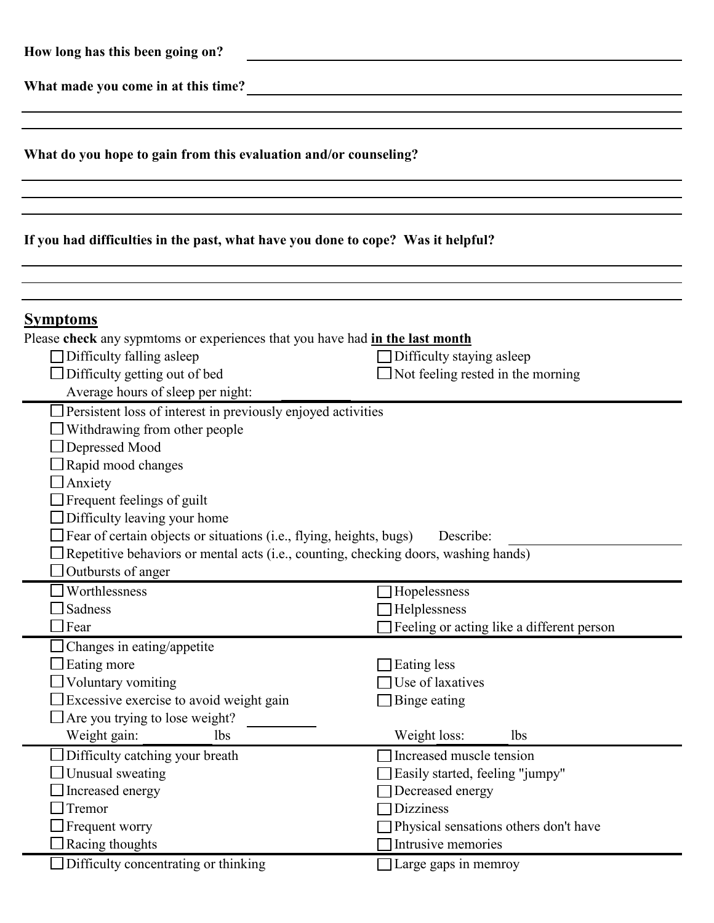| How long has this been going on?                                                                                                                                                                                                                                                                                     |                                                                                                                                                                    |  |  |  |  |
|----------------------------------------------------------------------------------------------------------------------------------------------------------------------------------------------------------------------------------------------------------------------------------------------------------------------|--------------------------------------------------------------------------------------------------------------------------------------------------------------------|--|--|--|--|
| What made you come in at this time?<br><u> 1980 - Jan Samuel Barbara, martin a</u>                                                                                                                                                                                                                                   |                                                                                                                                                                    |  |  |  |  |
|                                                                                                                                                                                                                                                                                                                      |                                                                                                                                                                    |  |  |  |  |
| What do you hope to gain from this evaluation and/or counseling?                                                                                                                                                                                                                                                     |                                                                                                                                                                    |  |  |  |  |
|                                                                                                                                                                                                                                                                                                                      |                                                                                                                                                                    |  |  |  |  |
| If you had difficulties in the past, what have you done to cope? Was it helpful?                                                                                                                                                                                                                                     |                                                                                                                                                                    |  |  |  |  |
|                                                                                                                                                                                                                                                                                                                      |                                                                                                                                                                    |  |  |  |  |
| <b>Symptoms</b><br>Please check any sypmtoms or experiences that you have had in the last month<br>Difficulty falling asleep<br>Difficulty getting out of bed<br>Average hours of sleep per night:                                                                                                                   | $\Box$ Difficulty staying asleep<br>Not feeling rested in the morning                                                                                              |  |  |  |  |
| Persistent loss of interest in previously enjoyed activities<br>$\Box$ Withdrawing from other people<br>Depressed Mood<br>Rapid mood changes<br>$\Box$ Anxiety<br>Frequent feelings of guilt<br>Difficulty leaving your home<br>$\Box$ Fear of certain objects or situations (i.e., flying, heights, bugs) Describe: |                                                                                                                                                                    |  |  |  |  |
| Repetitive behaviors or mental acts (i.e., counting, checking doors, washing hands)<br>Outbursts of anger                                                                                                                                                                                                            |                                                                                                                                                                    |  |  |  |  |
| Worthlessness<br>Sadness<br>Fear                                                                                                                                                                                                                                                                                     | Hopelessness<br>Helplessness<br>Feeling or acting like a different person                                                                                          |  |  |  |  |
| Changes in eating/appetite<br>Eating more<br>Voluntary vomiting<br>Excessive exercise to avoid weight gain<br>Are you trying to lose weight?<br>Weight gain:<br>lbs                                                                                                                                                  | Eating less<br>Use of laxatives<br>Binge eating<br>Weight loss:<br><b>lbs</b>                                                                                      |  |  |  |  |
| Difficulty catching your breath<br>Unusual sweating<br>Increased energy<br>Tremor<br>Frequent worry<br>Racing thoughts                                                                                                                                                                                               | Increased muscle tension<br>Easily started, feeling "jumpy"<br>Decreased energy<br><b>Dizziness</b><br>Physical sensations others don't have<br>Intrusive memories |  |  |  |  |
| Difficulty concentrating or thinking                                                                                                                                                                                                                                                                                 | Large gaps in memroy                                                                                                                                               |  |  |  |  |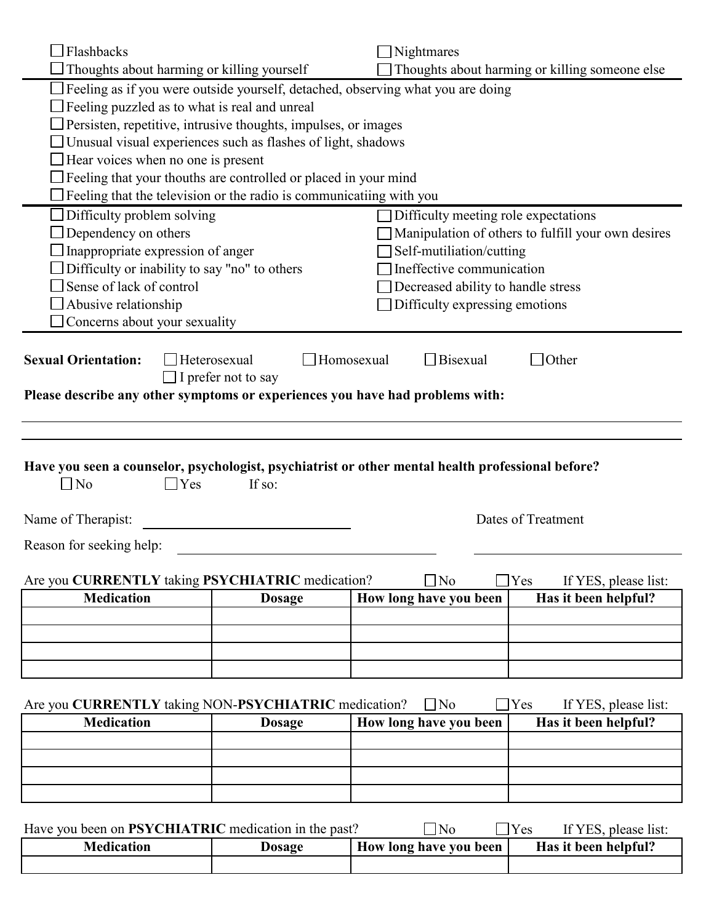| $\Box$ No<br>$\Box$ Yes<br>Are you CURRENTLY taking PSYCHIATRIC medication?<br><b>Medication</b><br>Are you CURRENTLY taking NON-PSYCHIATRIC medication?<br><b>Medication</b> | If so:<br><b>Dosage</b><br><b>Dosage</b>       | $\exists$ No<br>How long have you been<br>$\Box$ No<br>How long have you been | Dates of Treatment<br>$\Box$ Yes<br>If YES, please list:<br>Has it been helpful?<br>$\Box$ Yes<br>If YES, please list:<br>Has it been helpful? |  |  |  |  |  |
|-------------------------------------------------------------------------------------------------------------------------------------------------------------------------------|------------------------------------------------|-------------------------------------------------------------------------------|------------------------------------------------------------------------------------------------------------------------------------------------|--|--|--|--|--|
| Name of Therapist:<br>Reason for seeking help:                                                                                                                                |                                                |                                                                               |                                                                                                                                                |  |  |  |  |  |
|                                                                                                                                                                               |                                                |                                                                               |                                                                                                                                                |  |  |  |  |  |
|                                                                                                                                                                               |                                                |                                                                               |                                                                                                                                                |  |  |  |  |  |
|                                                                                                                                                                               |                                                |                                                                               |                                                                                                                                                |  |  |  |  |  |
|                                                                                                                                                                               |                                                |                                                                               |                                                                                                                                                |  |  |  |  |  |
|                                                                                                                                                                               |                                                |                                                                               |                                                                                                                                                |  |  |  |  |  |
|                                                                                                                                                                               |                                                |                                                                               |                                                                                                                                                |  |  |  |  |  |
|                                                                                                                                                                               |                                                |                                                                               |                                                                                                                                                |  |  |  |  |  |
|                                                                                                                                                                               |                                                |                                                                               |                                                                                                                                                |  |  |  |  |  |
| Have you seen a counselor, psychologist, psychiatrist or other mental health professional before?                                                                             |                                                |                                                                               |                                                                                                                                                |  |  |  |  |  |
|                                                                                                                                                                               |                                                |                                                                               |                                                                                                                                                |  |  |  |  |  |
| Please describe any other symptoms or experiences you have had problems with:                                                                                                 |                                                |                                                                               |                                                                                                                                                |  |  |  |  |  |
| <b>Sexual Orientation:</b>                                                                                                                                                    | Heterosexual<br>$\Box$ I prefer not to say     | Homosexual<br>$\Box$ Bisexual                                                 | $\Box$ Other                                                                                                                                   |  |  |  |  |  |
| Concerns about your sexuality                                                                                                                                                 |                                                |                                                                               |                                                                                                                                                |  |  |  |  |  |
| Abusive relationship                                                                                                                                                          |                                                | Decreased ability to handle stress<br>Difficulty expressing emotions          |                                                                                                                                                |  |  |  |  |  |
| Difficulty or inability to say "no" to others<br>Sense of lack of control                                                                                                     |                                                | Ineffective communication                                                     |                                                                                                                                                |  |  |  |  |  |
| Inappropriate expression of anger                                                                                                                                             |                                                | Self-mutiliation/cutting                                                      |                                                                                                                                                |  |  |  |  |  |
| Difficulty problem solving<br>Difficulty meeting role expectations<br>Dependency on others<br>Manipulation of others to fulfill your own desires                              |                                                |                                                                               |                                                                                                                                                |  |  |  |  |  |
| Feeling that the television or the radio is communicatiing with you                                                                                                           |                                                |                                                                               |                                                                                                                                                |  |  |  |  |  |
| Feeling that your thouths are controlled or placed in your mind                                                                                                               |                                                |                                                                               |                                                                                                                                                |  |  |  |  |  |
| Unusual visual experiences such as flashes of light, shadows<br>Hear voices when no one is present                                                                            |                                                |                                                                               |                                                                                                                                                |  |  |  |  |  |
| Persisten, repetitive, intrusive thoughts, impulses, or images                                                                                                                |                                                |                                                                               |                                                                                                                                                |  |  |  |  |  |
| Feeling as if you were outside yourself, detached, observing what you are doing<br>Feeling puzzled as to what is real and unreal                                              |                                                |                                                                               |                                                                                                                                                |  |  |  |  |  |
|                                                                                                                                                                               | Thoughts about harming or killing someone else |                                                                               |                                                                                                                                                |  |  |  |  |  |
| Thoughts about harming or killing yourself                                                                                                                                    |                                                |                                                                               | Nightmares                                                                                                                                     |  |  |  |  |  |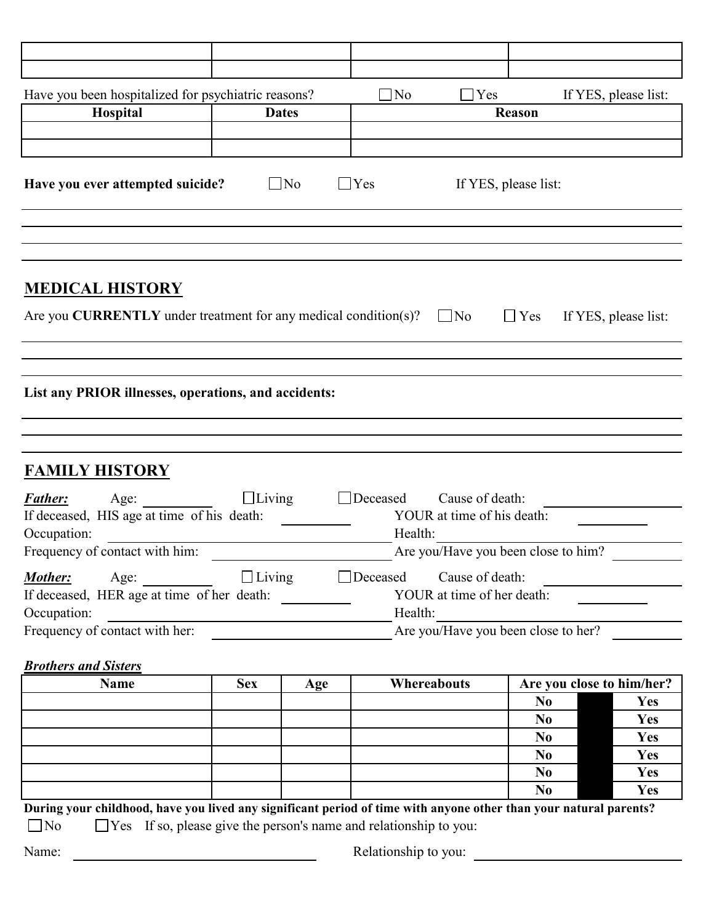| Have you been hospitalized for psychiatric reasons?                                                        |               |               | $\Box$ No<br>Yes                      |                                               |                                     | If YES, please list:      |  |
|------------------------------------------------------------------------------------------------------------|---------------|---------------|---------------------------------------|-----------------------------------------------|-------------------------------------|---------------------------|--|
| Hospital<br><b>Dates</b>                                                                                   |               | <b>Reason</b> |                                       |                                               |                                     |                           |  |
|                                                                                                            |               |               |                                       |                                               |                                     |                           |  |
|                                                                                                            |               |               |                                       |                                               |                                     |                           |  |
| Have you ever attempted suicide?                                                                           |               | $\Box$ No     | $\Box$ Yes                            |                                               | If YES, please list:                |                           |  |
|                                                                                                            |               |               |                                       |                                               |                                     |                           |  |
|                                                                                                            |               |               |                                       |                                               |                                     |                           |  |
| <b>MEDICAL HISTORY</b><br>Are you <b>CURRENTLY</b> under treatment for any medical condition(s)? $\Box$ No |               |               |                                       |                                               | $\Box$ Yes                          | If YES, please list:      |  |
|                                                                                                            |               |               |                                       |                                               |                                     |                           |  |
|                                                                                                            |               |               |                                       |                                               |                                     |                           |  |
| List any PRIOR illnesses, operations, and accidents:                                                       |               |               |                                       |                                               |                                     |                           |  |
|                                                                                                            |               |               |                                       |                                               |                                     |                           |  |
|                                                                                                            |               |               |                                       |                                               |                                     |                           |  |
| <b>FAMILY HISTORY</b>                                                                                      |               |               |                                       |                                               |                                     |                           |  |
| <b>Father:</b><br>Age:<br>If deceased, HIS age at time of his death:<br>Occupation:                        | $\Box$ Living |               | $\Box$ Deceased                       | Cause of death:                               |                                     |                           |  |
| Are you/Have you been close to him?                                                                        |               |               |                                       |                                               |                                     |                           |  |
| Frequency of contact with him:                                                                             |               |               | YOUR at time of his death:<br>Health: |                                               |                                     |                           |  |
|                                                                                                            |               |               |                                       |                                               |                                     |                           |  |
| Mother:<br>Age:<br>If deceased, HER age at time of her death:                                              | $\Box$ Living |               | Deceased<br>Health:                   | Cause of death:<br>YOUR at time of her death: |                                     |                           |  |
| Occupation:<br>Frequency of contact with her:                                                              |               |               |                                       |                                               | Are you/Have you been close to her? |                           |  |
|                                                                                                            |               |               |                                       |                                               |                                     |                           |  |
| <b>Brothers and Sisters</b>                                                                                |               |               |                                       |                                               |                                     |                           |  |
| <b>Name</b>                                                                                                | <b>Sex</b>    | Age           | Whereabouts                           |                                               |                                     | Are you close to him/her? |  |
|                                                                                                            |               |               |                                       |                                               | N <sub>0</sub>                      | Yes                       |  |
|                                                                                                            |               |               |                                       |                                               | N <sub>0</sub>                      | <b>Yes</b>                |  |
|                                                                                                            |               |               |                                       |                                               | N <sub>0</sub>                      | Yes                       |  |
|                                                                                                            |               |               |                                       |                                               | N <sub>0</sub>                      | Yes                       |  |
|                                                                                                            |               |               |                                       |                                               | N <sub>0</sub><br>N <sub>0</sub>    | Yes<br>Yes                |  |

 $\Box$  No  $\Box$  Yes If so, please give the person's name and relationship to you:

Name: Name: Name: Relationship to you: Newsales Relationship to you: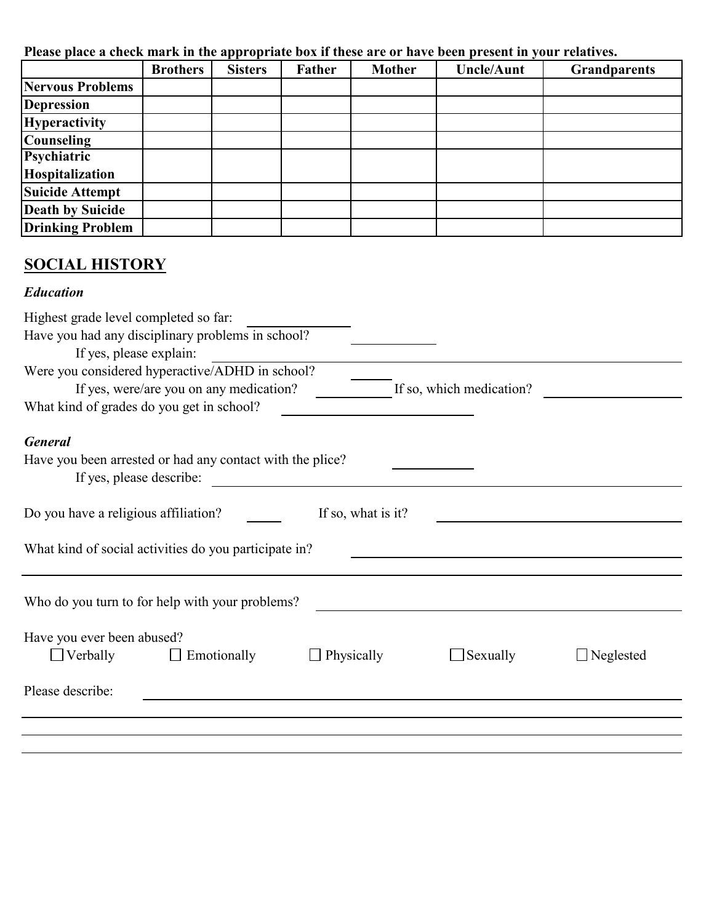**Please place a check mark in the appropriate box if these are or have been present in your relatives.**

|                         | <b>Brothers</b> | <b>Sisters</b> | <b>Father</b> | <b>Mother</b> | <b>Uncle/Aunt</b> | <b>Grandparents</b> |
|-------------------------|-----------------|----------------|---------------|---------------|-------------------|---------------------|
| Nervous Problems        |                 |                |               |               |                   |                     |
| Depression              |                 |                |               |               |                   |                     |
| <b>Hyperactivity</b>    |                 |                |               |               |                   |                     |
| <b>Counseling</b>       |                 |                |               |               |                   |                     |
| Psychiatric             |                 |                |               |               |                   |                     |
| Hospitalization         |                 |                |               |               |                   |                     |
| <b>Suicide Attempt</b>  |                 |                |               |               |                   |                     |
| <b>Death by Suicide</b> |                 |                |               |               |                   |                     |
| <b>Drinking Problem</b> |                 |                |               |               |                   |                     |

## **SOCIAL HISTORY**

## *Education*

| Highest grade level completed so far:                                                                                                                              |                    |                          |                  |
|--------------------------------------------------------------------------------------------------------------------------------------------------------------------|--------------------|--------------------------|------------------|
| Have you had any disciplinary problems in school?                                                                                                                  |                    |                          |                  |
| If yes, please explain:<br>Were you considered hyperactive/ADHD in school?<br>If yes, were/are you on any medication?<br>What kind of grades do you get in school? |                    | If so, which medication? |                  |
| <b>General</b>                                                                                                                                                     |                    |                          |                  |
| Have you been arrested or had any contact with the plice?<br>If yes, please describe:                                                                              |                    |                          |                  |
| Do you have a religious affiliation?                                                                                                                               | If so, what is it? |                          |                  |
| What kind of social activities do you participate in?                                                                                                              |                    |                          |                  |
|                                                                                                                                                                    |                    |                          |                  |
| Who do you turn to for help with your problems?                                                                                                                    |                    |                          |                  |
| Have you ever been abused?<br>Emotionally<br>$\Box$ Verbally                                                                                                       | $\Box$ Physically  | Sexually                 | $\Box$ Neglested |
| Please describe:                                                                                                                                                   |                    |                          |                  |
|                                                                                                                                                                    |                    |                          |                  |
|                                                                                                                                                                    |                    |                          |                  |
|                                                                                                                                                                    |                    |                          |                  |